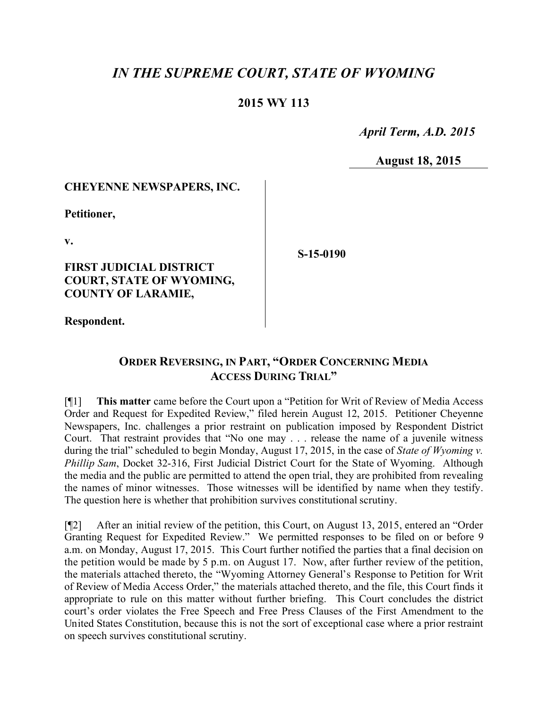# *IN THE SUPREME COURT, STATE OF WYOMING*

# **2015 WY 113**

 *April Term, A.D. 2015*

**August 18, 2015**

# **CHEYENNE NEWSPAPERS, INC.**

**Petitioner,**

**v.**

# **FIRST JUDICIAL DISTRICT COURT, STATE OF WYOMING, COUNTY OF LARAMIE,**

**S-15-0190**

**Respondent.**

# **ORDER REVERSING, IN PART, "ORDER CONCERNING MEDIA ACCESS DURING TRIAL"**

[¶1] **This matter** came before the Court upon a "Petition for Writ of Review of Media Access Order and Request for Expedited Review," filed herein August 12, 2015. Petitioner Cheyenne Newspapers, Inc. challenges a prior restraint on publication imposed by Respondent District Court. That restraint provides that "No one may . . . release the name of a juvenile witness during the trial" scheduled to begin Monday, August 17, 2015, in the case of *State of Wyoming v. Phillip Sam*, Docket 32-316, First Judicial District Court for the State of Wyoming. Although the media and the public are permitted to attend the open trial, they are prohibited from revealing the names of minor witnesses. Those witnesses will be identified by name when they testify. The question here is whether that prohibition survives constitutional scrutiny.

[¶2] After an initial review of the petition, this Court, on August 13, 2015, entered an "Order Granting Request for Expedited Review." We permitted responses to be filed on or before 9 a.m. on Monday, August 17, 2015. This Court further notified the parties that a final decision on the petition would be made by 5 p.m. on August 17. Now, after further review of the petition, the materials attached thereto, the "Wyoming Attorney General's Response to Petition for Writ of Review of Media Access Order," the materials attached thereto, and the file, this Court finds it appropriate to rule on this matter without further briefing. This Court concludes the district court's order violates the Free Speech and Free Press Clauses of the First Amendment to the United States Constitution, because this is not the sort of exceptional case where a prior restraint on speech survives constitutional scrutiny.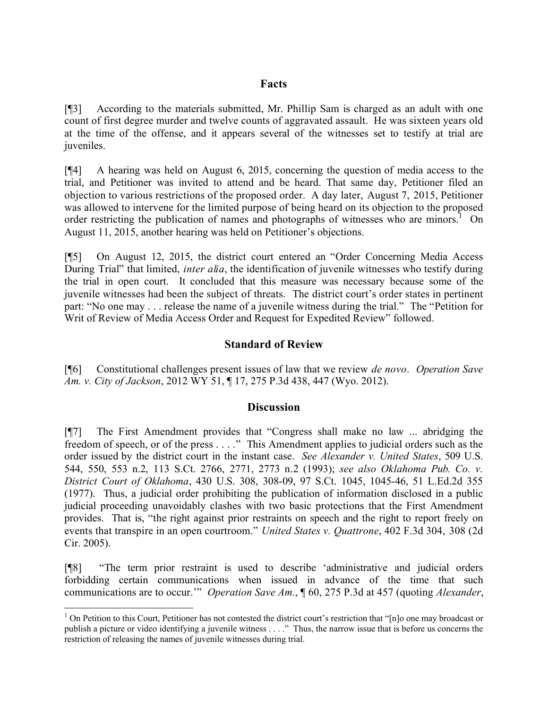#### **Facts**

[¶3] According to the materials submitted, Mr. Phillip Sam is charged as an adult with one count of first degree murder and twelve counts of aggravated assault. He was sixteen years old at the time of the offense, and it appears several of the witnesses set to testify at trial are juveniles.

[¶4] A hearing was held on August 6, 2015, concerning the question of media access to the trial, and Petitioner was invited to attend and be heard. That same day, Petitioner filed an objection to various restrictions of the proposed order. A day later, August 7, 2015, Petitioner was allowed to intervene for the limited purpose of being heard on its objection to the proposed order restricting the publication of names and photographs of witnesses who are minors.<sup>1</sup> On August 11, 2015, another hearing was held on Petitioner's objections.

[¶5] On August 12, 2015, the district court entered an "Order Concerning Media Access During Trial" that limited, *inter alia*, the identification of juvenile witnesses who testify during the trial in open court. It concluded that this measure was necessary because some of the juvenile witnesses had been the subject of threats. The district court's order states in pertinent part: "No one may . . . release the name of a juvenile witness during the trial." The "Petition for Writ of Review of Media Access Order and Request for Expedited Review" followed.

# **Standard of Review**

[¶6] Constitutional challenges present issues of law that we review *de novo*. *Operation Save Am. v. City of Jackson*, 2012 WY 51, ¶ 17, 275 P.3d 438, 447 (Wyo. 2012).

### **Discussion**

[¶7] The First Amendment provides that "Congress shall make no law ... abridging the freedom of speech, or of the press . . . ." This Amendment applies to judicial orders such as the order issued by the district court in the instant case. *See Alexander v. United States*, 509 U.S. 544, 550, 553 n.2, 113 S.Ct. 2766, 2771, 2773 n.2 (1993); *see also Oklahoma Pub. Co. v. District Court of Oklahoma*, 430 U.S. 308, 308-09, 97 S.Ct. 1045, 1045-46, 51 L.Ed.2d 355 (1977). Thus, a judicial order prohibiting the publication of information disclosed in a public judicial proceeding unavoidably clashes with two basic protections that the First Amendment provides. That is, "the right against prior restraints on speech and the right to report freely on events that transpire in an open courtroom." *United States v. Quattrone*, 402 F.3d 304, 308 (2d Cir. 2005).

[¶8] "The term prior restraint is used to describe 'administrative and judicial orders forbidding certain communications when issued in advance of the time that such communications are to occur.'" *Operation Save Am.*, ¶ 60, 275 P.3d at 457 (quoting *Alexander*,

 $\overline{a}$ 

 $<sup>1</sup>$  On Petition to this Court, Petitioner has not contested the district court's restriction that "[n]o one may broadcast or</sup> publish a picture or video identifying a juvenile witness . . . ." Thus, the narrow issue that is before us concerns the restriction of releasing the names of juvenile witnesses during trial.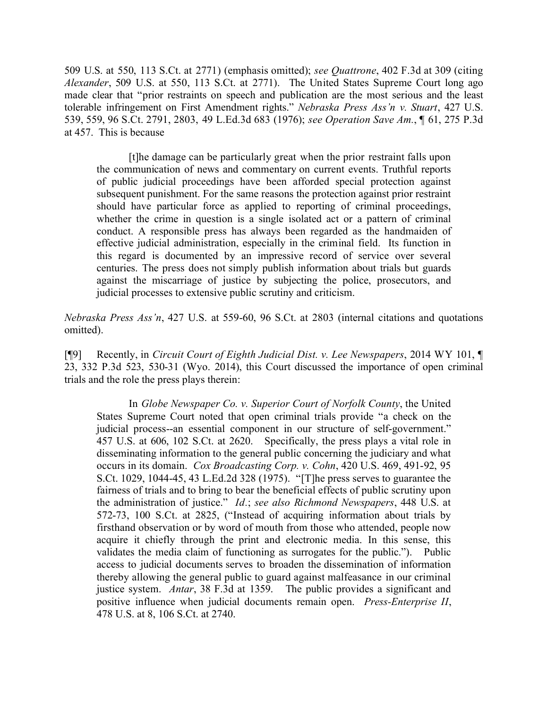509 U.S. at 550, 113 S.Ct. at 2771) (emphasis omitted); *see Quattrone*, 402 F.3d at 309 (citing *Alexander*, 509 U.S. at 550, 113 S.Ct. at 2771). The United States Supreme Court long ago made clear that "prior restraints on speech and publication are the most serious and the least tolerable infringement on First Amendment rights." *Nebraska Press Ass'n v. Stuart*, 427 U.S. 539, 559, 96 S.Ct. 2791, 2803, 49 L.Ed.3d 683 (1976); *see Operation Save Am.*, ¶ 61, 275 P.3d at 457. This is because

[t]he damage can be particularly great when the prior restraint falls upon the communication of news and commentary on current events. Truthful reports of public judicial proceedings have been afforded special protection against subsequent punishment. For the same reasons the protection against prior restraint should have particular force as applied to reporting of criminal proceedings, whether the crime in question is a single isolated act or a pattern of criminal conduct. A responsible press has always been regarded as the handmaiden of effective judicial administration, especially in the criminal field. Its function in this regard is documented by an impressive record of service over several centuries. The press does not simply publish information about trials but guards against the miscarriage of justice by subjecting the police, prosecutors, and judicial processes to extensive public scrutiny and criticism.

*Nebraska Press Ass'n*, 427 U.S. at 559-60, 96 S.Ct. at 2803 (internal citations and quotations omitted).

[¶9] Recently, in *Circuit Court of Eighth Judicial Dist. v. Lee Newspapers*, 2014 WY 101, ¶ 23, 332 P.3d 523, 530-31 (Wyo. 2014), this Court discussed the importance of open criminal trials and the role the press plays therein:

In *Globe Newspaper Co. v. Superior Court of Norfolk County*, the United States Supreme Court noted that open criminal trials provide "a check on the judicial process--an essential component in our structure of self-government." 457 U.S. at 606, 102 S.Ct. at 2620. Specifically, the press plays a vital role in disseminating information to the general public concerning the judiciary and what occurs in its domain. *Cox Broadcasting Corp. v. Cohn*, 420 U.S. 469, 491-92, 95 S.Ct. 1029, 1044-45, 43 L.Ed.2d 328 (1975). "[T]he press serves to guarantee the fairness of trials and to bring to bear the beneficial effects of public scrutiny upon the administration of justice." *Id.*; *see also Richmond Newspapers*, 448 U.S. at 572-73, 100 S.Ct. at 2825, ("Instead of acquiring information about trials by firsthand observation or by word of mouth from those who attended, people now acquire it chiefly through the print and electronic media. In this sense, this validates the media claim of functioning as surrogates for the public."). Public access to judicial documents serves to broaden the dissemination of information thereby allowing the general public to guard against malfeasance in our criminal justice system. *Antar*, 38 F.3d at 1359. The public provides a significant and positive influence when judicial documents remain open. *Press-Enterprise II*, 478 U.S. at 8, 106 S.Ct. at 2740.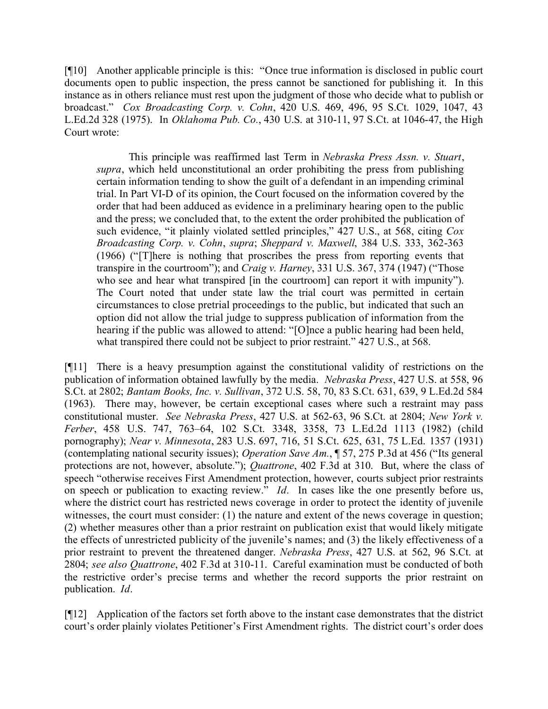[¶10] Another applicable principle is this: "Once true information is disclosed in public court documents open to public inspection, the press cannot be sanctioned for publishing it. In this instance as in others reliance must rest upon the judgment of those who decide what to publish or broadcast." *Cox Broadcasting Corp. v. Cohn*, 420 U.S. 469, 496, 95 S.Ct. 1029, 1047, 43 L.Ed.2d 328 (1975). In *Oklahoma Pub. Co.*, 430 U.S. at 310-11, 97 S.Ct. at 1046-47, the High Court wrote:

This principle was reaffirmed last Term in *Nebraska Press Assn. v. Stuart*, *supra*, which held unconstitutional an order prohibiting the press from publishing certain information tending to show the guilt of a defendant in an impending criminal trial. In Part VI-D of its opinion, the Court focused on the information covered by the order that had been adduced as evidence in a preliminary hearing open to the public and the press; we concluded that, to the extent the order prohibited the publication of such evidence, "it plainly violated settled principles," 427 U.S., at 568, citing *Cox Broadcasting Corp. v. Cohn*, *supra*; *Sheppard v. Maxwell*, 384 U.S. 333, 362-363 (1966) ("[T]here is nothing that proscribes the press from reporting events that transpire in the courtroom"); and *Craig v. Harney*, 331 U.S. 367, 374 (1947) ("Those who see and hear what transpired [in the courtroom] can report it with impunity"). The Court noted that under state law the trial court was permitted in certain circumstances to close pretrial proceedings to the public, but indicated that such an option did not allow the trial judge to suppress publication of information from the hearing if the public was allowed to attend: "[O]nce a public hearing had been held, what transpired there could not be subject to prior restraint." 427 U.S., at 568.

[¶11] There is a heavy presumption against the constitutional validity of restrictions on the publication of information obtained lawfully by the media. *Nebraska Press*, 427 U.S. at 558, 96 S.Ct. at 2802; *Bantam Books, Inc. v. Sullivan*, 372 U.S. 58, 70, 83 S.Ct. 631, 639, 9 L.Ed.2d 584 (1963). There may, however, be certain exceptional cases where such a restraint may pass constitutional muster. *See Nebraska Press*, 427 U.S. at 562-63, 96 S.Ct. at 2804; *New York v. Ferber*, 458 U.S. 747, 763–64, 102 S.Ct. 3348, 3358, 73 L.Ed.2d 1113 (1982) (child pornography); *Near v. Minnesota*, 283 U.S. 697, 716, 51 S.Ct. 625, 631, 75 L.Ed. 1357 (1931) (contemplating national security issues); *Operation Save Am.*, ¶ 57, 275 P.3d at 456 ("Its general protections are not, however, absolute."); *Quattrone*, 402 F.3d at 310. But, where the class of speech "otherwise receives First Amendment protection, however, courts subject prior restraints on speech or publication to exacting review." *Id.* In cases like the one presently before us, where the district court has restricted news coverage in order to protect the identity of juvenile witnesses, the court must consider: (1) the nature and extent of the news coverage in question; (2) whether measures other than a prior restraint on publication exist that would likely mitigate the effects of unrestricted publicity of the juvenile's names; and (3) the likely effectiveness of a prior restraint to prevent the threatened danger. *Nebraska Press*, 427 U.S. at 562, 96 S.Ct. at 2804; *see also Quattrone*, 402 F.3d at 310-11. Careful examination must be conducted of both the restrictive order's precise terms and whether the record supports the prior restraint on publication. *Id*.

[¶12] Application of the factors set forth above to the instant case demonstrates that the district court's order plainly violates Petitioner's First Amendment rights. The district court's order does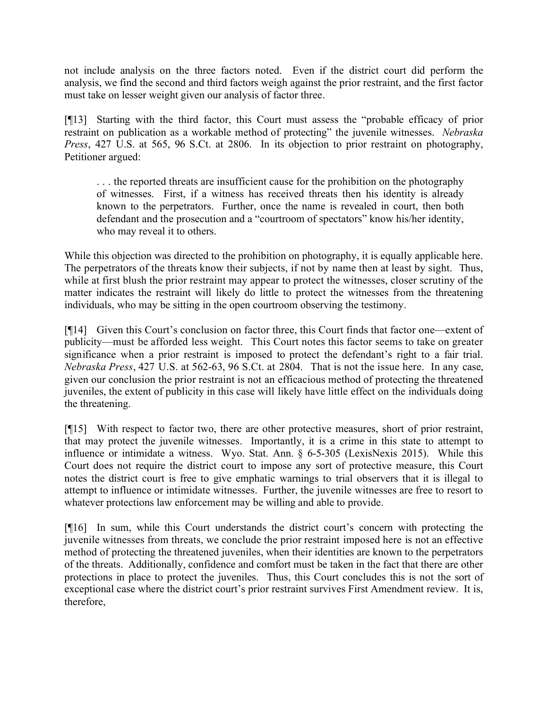not include analysis on the three factors noted. Even if the district court did perform the analysis, we find the second and third factors weigh against the prior restraint, and the first factor must take on lesser weight given our analysis of factor three.

[¶13] Starting with the third factor, this Court must assess the "probable efficacy of prior restraint on publication as a workable method of protecting" the juvenile witnesses. *Nebraska Press*, 427 U.S. at 565, 96 S.Ct. at 2806. In its objection to prior restraint on photography, Petitioner argued:

... the reported threats are insufficient cause for the prohibition on the photography of witnesses. First, if a witness has received threats then his identity is already known to the perpetrators. Further, once the name is revealed in court, then both defendant and the prosecution and a "courtroom of spectators" know his/her identity, who may reveal it to others.

While this objection was directed to the prohibition on photography, it is equally applicable here. The perpetrators of the threats know their subjects, if not by name then at least by sight. Thus, while at first blush the prior restraint may appear to protect the witnesses, closer scrutiny of the matter indicates the restraint will likely do little to protect the witnesses from the threatening individuals, who may be sitting in the open courtroom observing the testimony.

[¶14] Given this Court's conclusion on factor three, this Court finds that factor one—extent of publicity—must be afforded less weight. This Court notes this factor seems to take on greater significance when a prior restraint is imposed to protect the defendant's right to a fair trial. *Nebraska Press*, 427 U.S. at 562-63, 96 S.Ct. at 2804. That is not the issue here. In any case, given our conclusion the prior restraint is not an efficacious method of protecting the threatened juveniles, the extent of publicity in this case will likely have little effect on the individuals doing the threatening.

[¶15] With respect to factor two, there are other protective measures, short of prior restraint, that may protect the juvenile witnesses. Importantly, it is a crime in this state to attempt to influence or intimidate a witness. Wyo. Stat. Ann. § 6-5-305 (LexisNexis 2015). While this Court does not require the district court to impose any sort of protective measure, this Court notes the district court is free to give emphatic warnings to trial observers that it is illegal to attempt to influence or intimidate witnesses. Further, the juvenile witnesses are free to resort to whatever protections law enforcement may be willing and able to provide.

[¶16] In sum, while this Court understands the district court's concern with protecting the juvenile witnesses from threats, we conclude the prior restraint imposed here is not an effective method of protecting the threatened juveniles, when their identities are known to the perpetrators of the threats. Additionally, confidence and comfort must be taken in the fact that there are other protections in place to protect the juveniles. Thus, this Court concludes this is not the sort of exceptional case where the district court's prior restraint survives First Amendment review. It is, therefore,